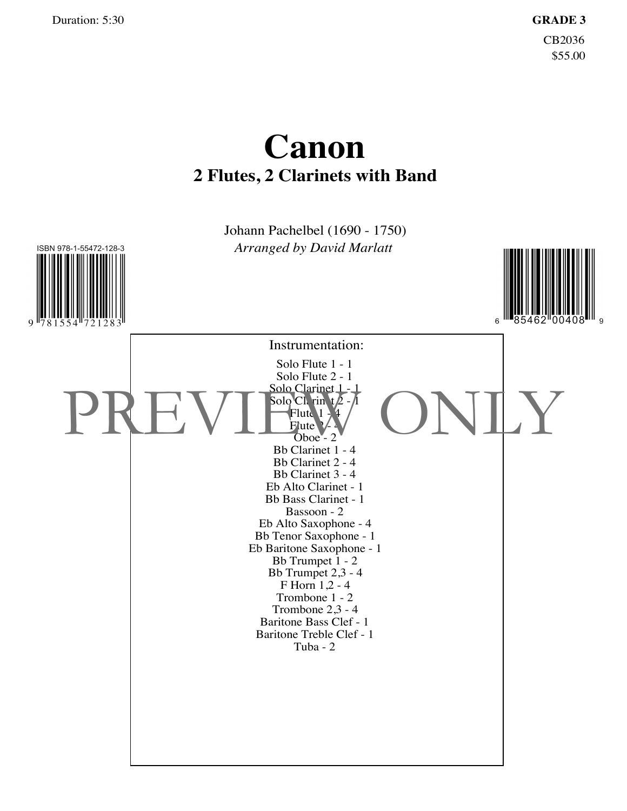# **Canon 2 Flutes, 2 Clarinets with Band**

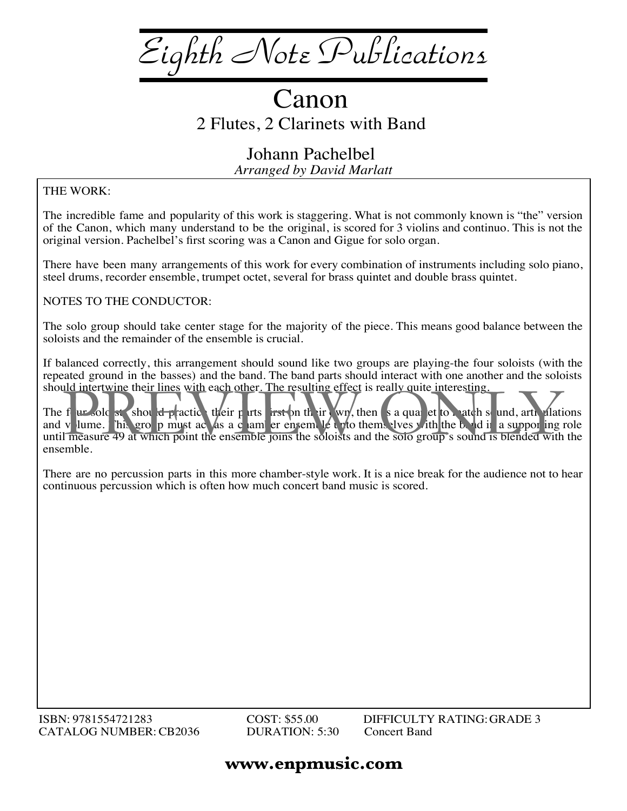*Eighth Note Publications*

## Canon 2 Flutes, 2 Clarinets with Band

*Arranged by David Marlatt* Johann Pachelbel

#### THE WORK:

The incredible fame and popularity of this work is staggering. What is not commonly known is "the" version of the Canon, which many understand to be the original, is scored for 3 violins and continuo. This is not the original version. Pachelbel's first scoring was a Canon and Gigue for solo organ.

There have been many arrangements of this work for every combination of instruments including solo piano, steel drums, recorder ensemble, trumpet octet, several for brass quintet and double brass quintet.

#### NOTES TO THE CONDUCTOR:

The solo group should take center stage for the majority of the piece. This means good balance between the soloists and the remainder of the ensemble is crucial.

If balanced correctly, this arrangement should sound like two groups are playing-the four soloists (with the repeated ground in the basses) and the band. The band parts should interact with one another and the soloists should intertwine their lines with each other. The resulting effect is really quite interesting.

The function station of practice their parts first on their wn, then s a quartet to match sound, articulations and volume. This group must act as a chamber ensemble to themselves with the band in a supporting role until measure 49 at which point the ensemble joins the soloists and the solo group's sound is blended with the ensemble. Id intertwine their lines with each other. The resulting effect is really quite interesting.<br>
If ur old st should practic their pursts in the irrevine, then s a quality of the strek s und, arth vilation with the book at a

There are no percussion parts in this more chamber-style work. It is a nice break for the audience not to hear continuous percussion which is often how much concert band music is scored.

### **www.enpmusic.com**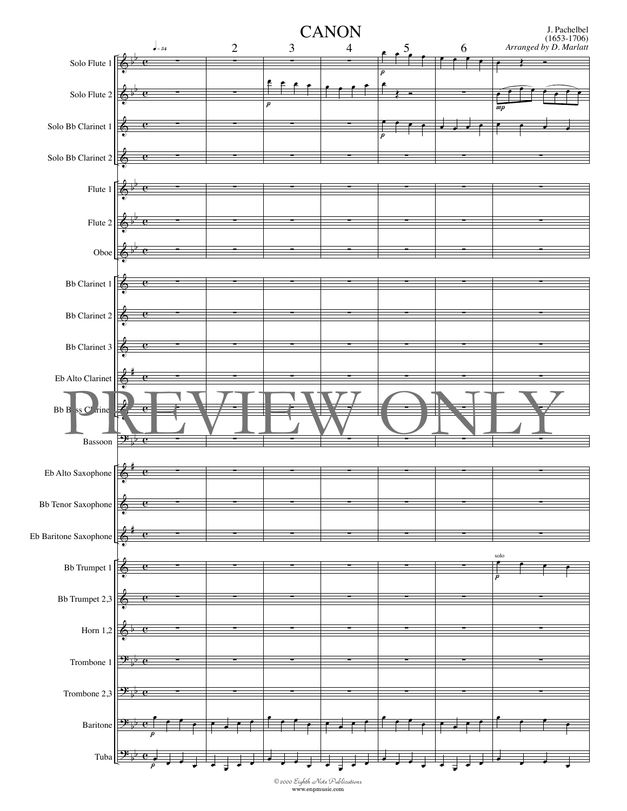

www.enpmusic.com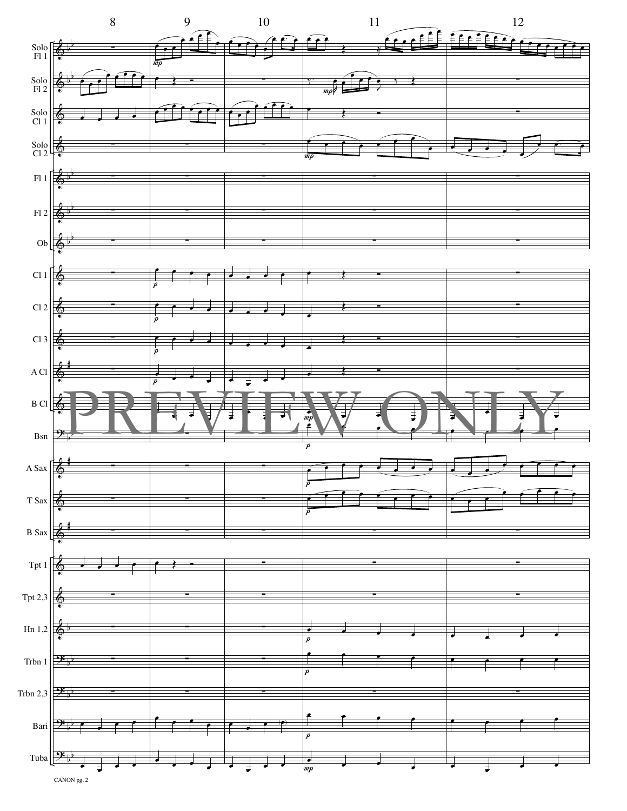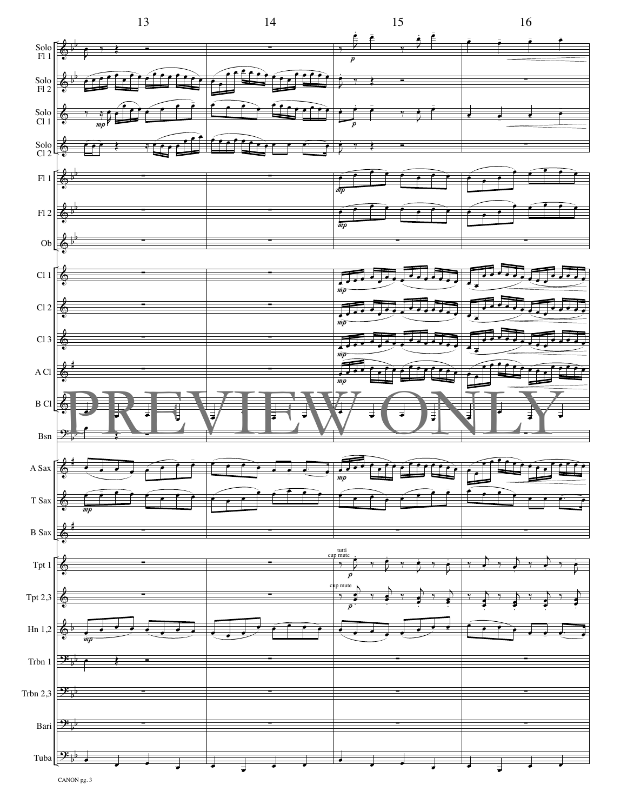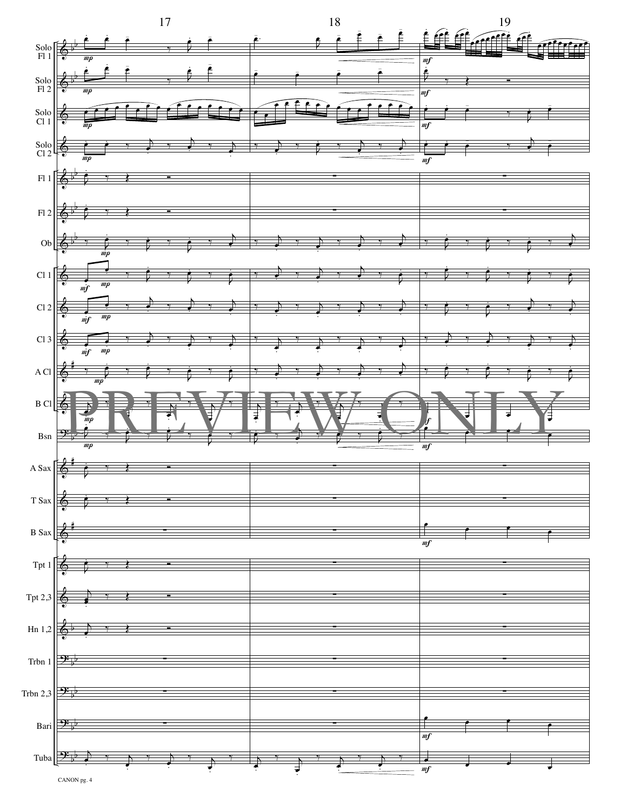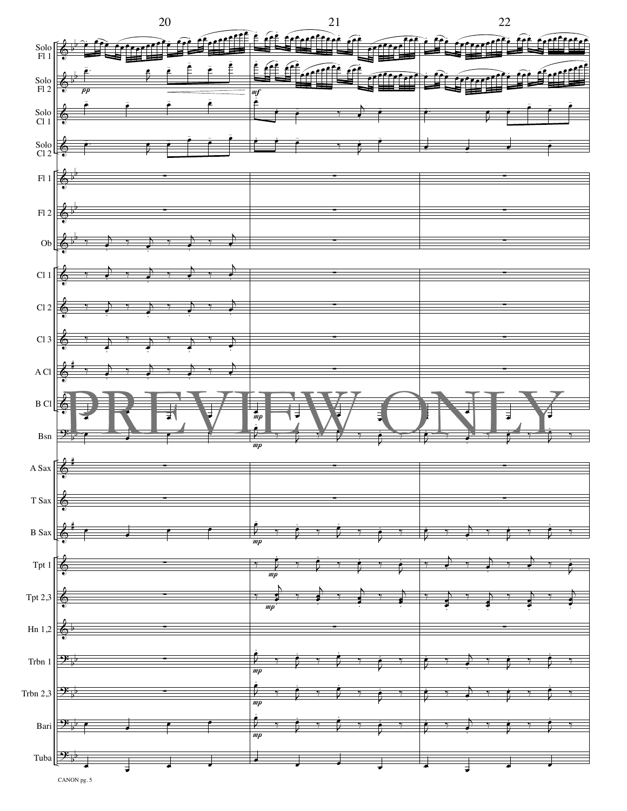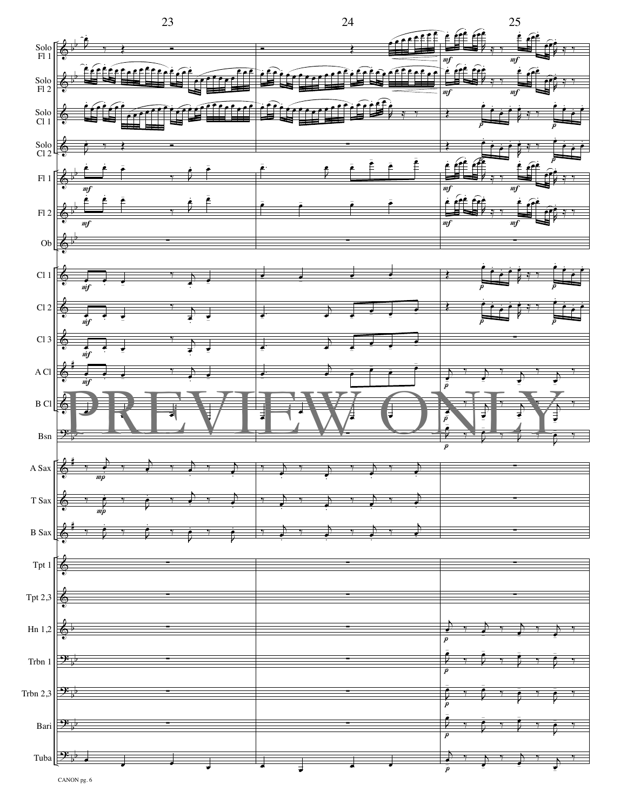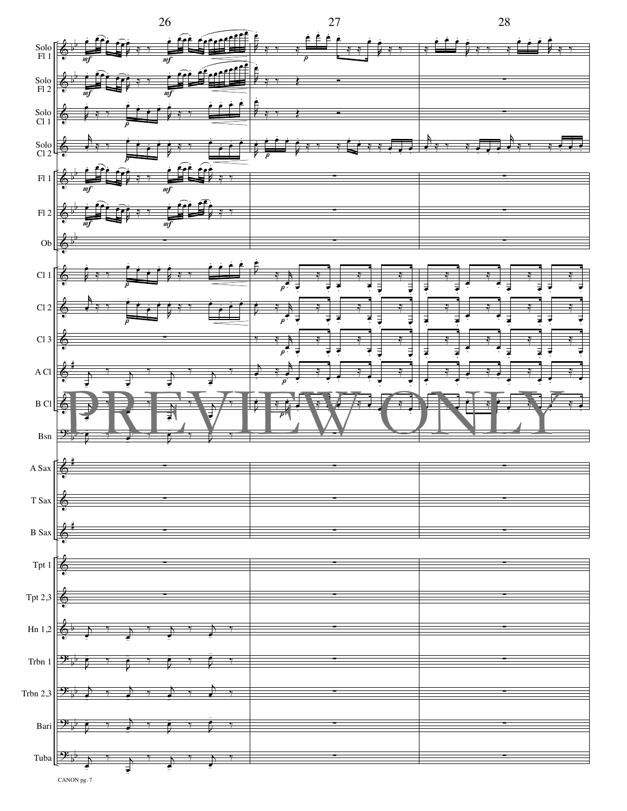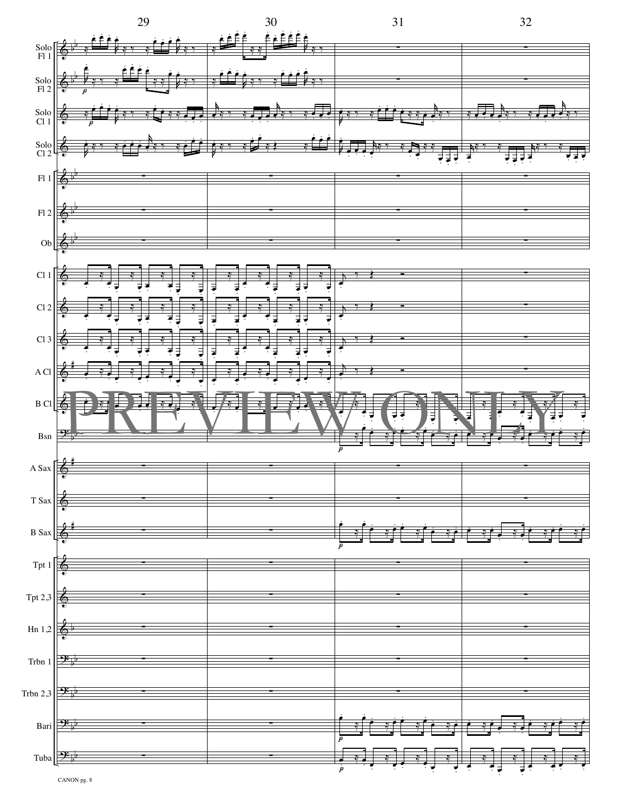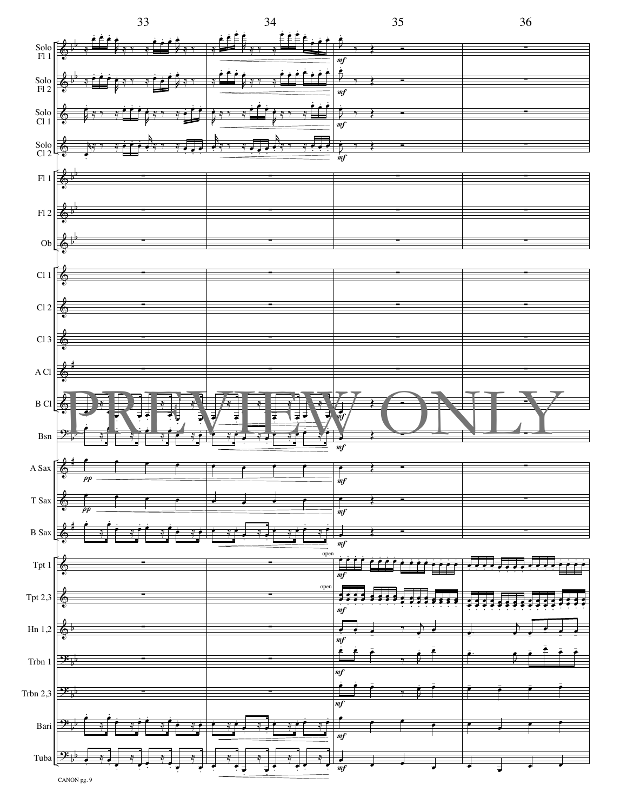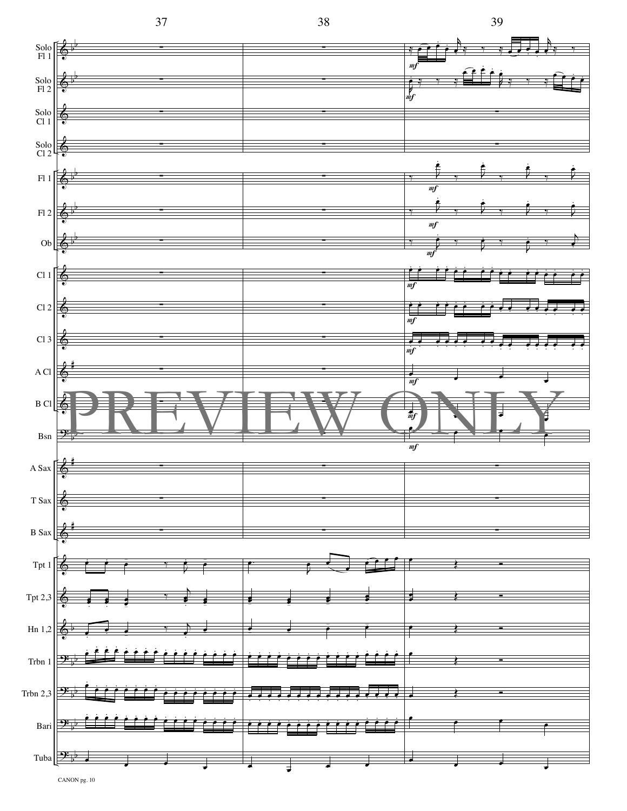

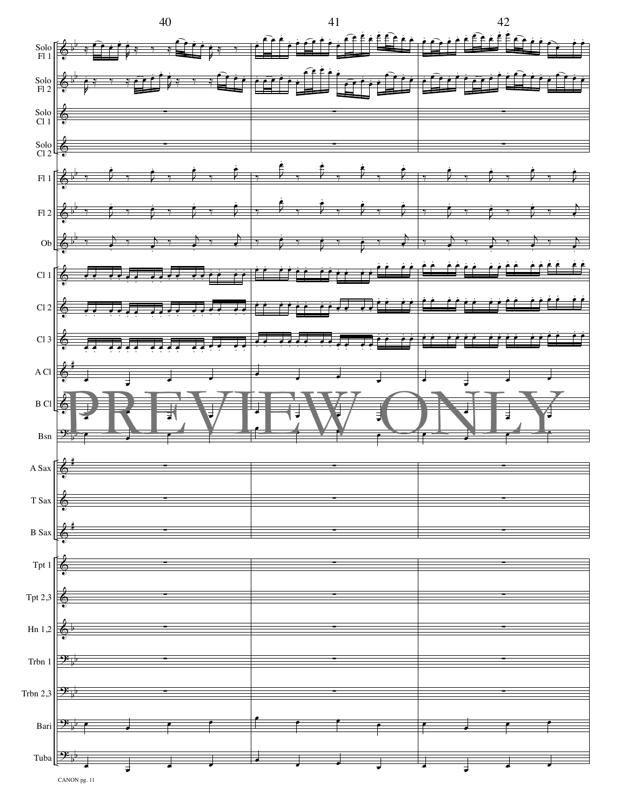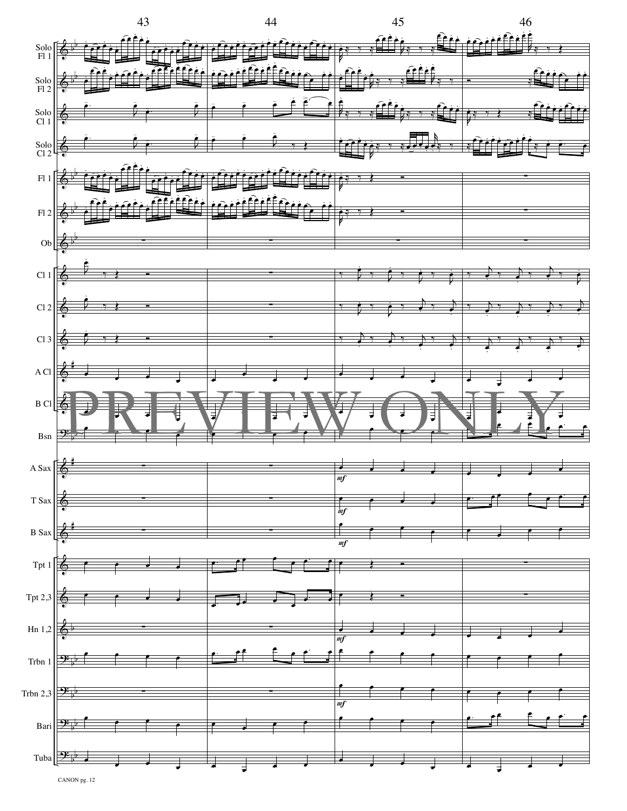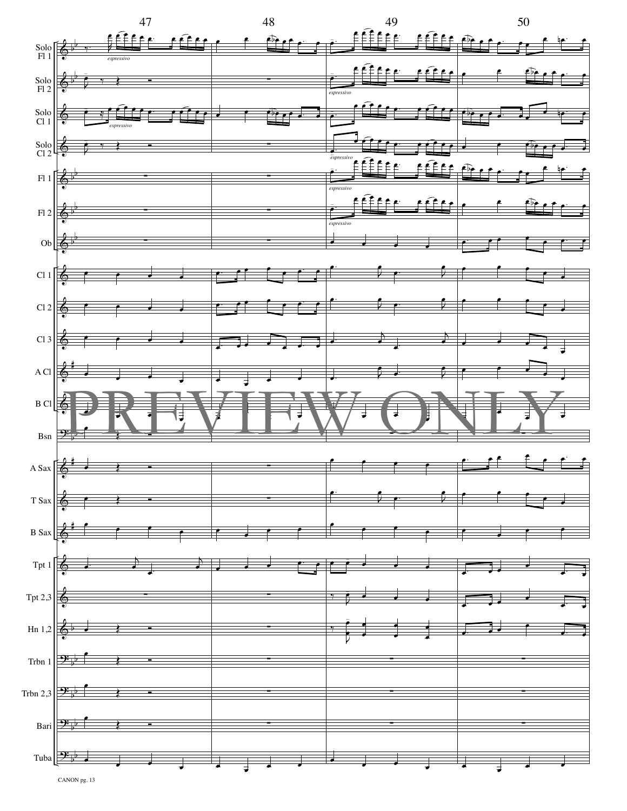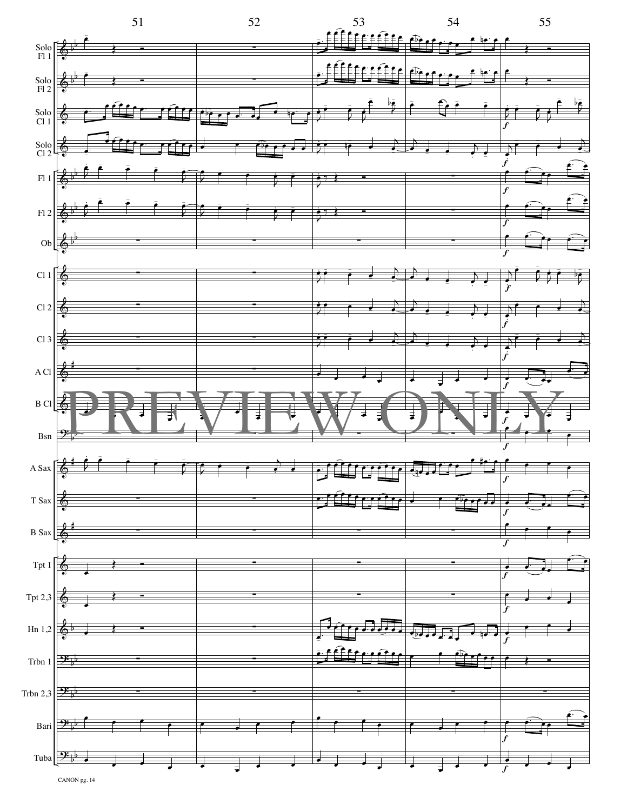